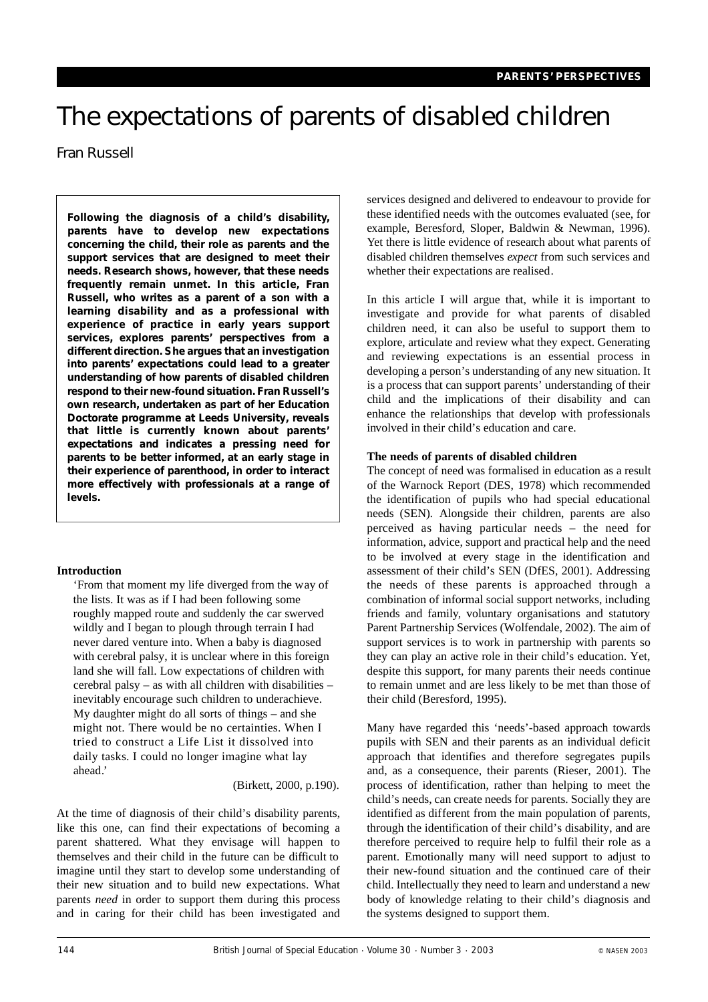# The expectations of parents of disabled children

*Fran Russell*

**Following the diagnosis of a child's disability,** parents have to develop new expectations **concerning the child, their role as parents and the support services that are designed to meet their needs. Research shows, however, that these needs** frequently remain unmet. In this article, Fran **Russell, who writes as a parent of a son with a** learning disability and as a professional with **experience of practice in early years support** services, explores parents' perspectives from a **different direction. She argues that an investigation into parents' expectations could lead to a greater understanding of how parents of disabled children respond to their new-found situation. Fran Russell's own research, undertaken as part of her Education Doctorate programme at Leeds University, reveals** that little is currently known about parents' **expectations and indicates a pressing need for parents to be better informed, at an early stage in their experience of parenthood, in order to interact more effectively with professionals at a range of levels.**

# **Introduction**

'From that moment my life diverged from the way of the lists. It was as if I had been following some roughly mapped route and suddenly the car swerved wildly and I began to plough through terrain I had never dared venture into. When a baby is diagnosed with cerebral palsy, it is unclear where in this foreign land she will fall. Low expectations of children with cerebral palsy – as with all children with disabilities – inevitably encourage such children to underachieve. My daughter might do all sorts of things – and she might not. There would be no certainties. When I tried to construct a Life List it dissolved into daily tasks. I could no longer imagine what lay ahead.'

(Birkett, 2000, p.190).

At the time of diagnosis of their child's disability parents, like this one, can find their expectations of becoming a parent shattered. What they envisage will happen to themselves and their child in the future can be difficult to imagine until they start to develop some understanding of their new situation and to build new expectations. What parents *need* in order to support them during this process and in caring for their child has been investigated and

services designed and delivered to endeavour to provide for these identified needs with the outcomes evaluated (see, for example, Beresford, Sloper, Baldwin & Newman, 1996). Yet there is little evidence of research about what parents of disabled children themselves *expect* from such services and whether their expectations are realised.

In this article I will argue that, while it is important to investigate and provide for what parents of disabled children need, it can also be useful to support them to explore, articulate and review what they expect. Generating and reviewing expectations is an essential process in developing a person's understanding of any new situation. It is a process that can support parents' understanding of their child and the implications of their disability and can enhance the relationships that develop with professionals involved in their child's education and care.

## **The needs of parents of disabled children**

The concept of need was formalised in education as a result of the Warnock Report (DES, 1978) which recommended the identification of pupils who had special educational needs (SEN)*.* Alongside their children, parents are also perceived as having particular needs – the need for information, advice, support and practical help and the need to be involved at every stage in the identification and assessment of their child's SEN (DfES, 2001). Addressing the needs of these parents is approached through a combination of informal social support networks, including friends and family, voluntary organisations and statutory Parent Partnership Services (Wolfendale, 2002). The aim of support services is to work in partnership with parents so they can play an active role in their child's education. Yet, despite this support, for many parents their needs continue to remain unmet and are less likely to be met than those of their child (Beresford, 1995).

Many have regarded this 'needs'-based approach towards pupils with SEN and their parents as an individual deficit approach that identifies and therefore segregates pupils and, as a consequence, their parents (Rieser, 2001). The process of identification, rather than helping to meet the child's needs, can create needs for parents. Socially they are identified as different from the main population of parents, through the identification of their child's disability, and are therefore perceived to require help to fulfil their role as a parent. Emotionally many will need support to adjust to their new-found situation and the continued care of their child. Intellectually they need to learn and understand a new body of knowledge relating to their child's diagnosis and the systems designed to support them.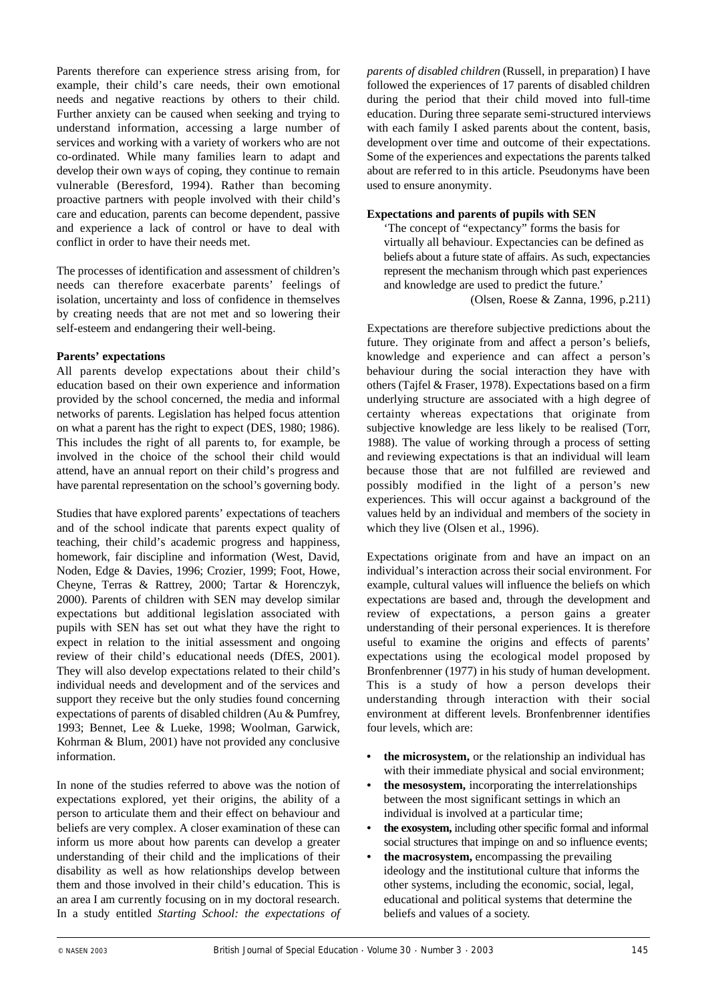Parents therefore can experience stress arising from, for example, their child's care needs, their own emotional needs and negative reactions by others to their child. Further anxiety can be caused when seeking and trying to understand information, accessing a large number of services and working with a variety of workers who are not co-ordinated. While many families learn to adapt and develop their own ways of coping, they continue to remain vulnerable (Beresford, 1994). Rather than becoming proactive partners with people involved with their child's care and education, parents can become dependent, passive and experience a lack of control or have to deal with conflict in order to have their needs met.

The processes of identification and assessment of children's needs can therefore exacerbate parents' feelings of isolation, uncertainty and loss of confidence in themselves by creating needs that are not met and so lowering their self-esteem and endangering their well-being.

## **Parents' expectations**

All parents develop expectations about their child's education based on their own experience and information provided by the school concerned, the media and informal networks of parents. Legislation has helped focus attention on what a parent has the right to expect (DES, 1980; 1986). This includes the right of all parents to, for example, be involved in the choice of the school their child would attend, have an annual report on their child's progress and have parental representation on the school's governing body.

Studies that have explored parents' expectations of teachers and of the school indicate that parents expect quality of teaching, their child's academic progress and happiness, homework, fair discipline and information (West, David, Noden, Edge & Davies, 1996; Crozier, 1999; Foot, Howe, Cheyne, Terras & Rattrey, 2000; Tartar & Horenczyk, 2000). Parents of children with SEN may develop similar expectations but additional legislation associated with pupils with SEN has set out what they have the right to expect in relation to the initial assessment and ongoing review of their child's educational needs (DfES, 2001). They will also develop expectations related to their child's individual needs and development and of the services and support they receive but the only studies found concerning expectations of parents of disabled children (Au & Pumfrey, 1993; Bennet, Lee & Lueke, 1998; Woolman, Garwick, Kohrman & Blum, 2001) have not provided any conclusive information.

In none of the studies referred to above was the notion of expectations explored, yet their origins, the ability of a person to articulate them and their effect on behaviour and beliefs are very complex. A closer examination of these can inform us more about how parents can develop a greater understanding of their child and the implications of their disability as well as how relationships develop between them and those involved in their child's education. This is an area I am currently focusing on in my doctoral research. In a study entitled *Starting School: the expectations of* *parents of disabled children* (Russell, in preparation) I have followed the experiences of 17 parents of disabled children during the period that their child moved into full-time education. During three separate semi-structured interviews with each family I asked parents about the content, basis, development over time and outcome of their expectations. Some of the experiences and expectations the parents talked about are referred to in this article. Pseudonyms have been used to ensure anonymity.

## **Expectations and parents of pupils with SEN**

'The concept of "expectancy" forms the basis for virtually all behaviour. Expectancies can be defined as beliefs about a future state of affairs. As such, expectancies represent the mechanism through which past experiences and knowledge are used to predict the future.'

(Olsen, Roese & Zanna, 1996, p.211)

Expectations are therefore subjective predictions about the future. They originate from and affect a person's beliefs, knowledge and experience and can affect a person's behaviour during the social interaction they have with others (Tajfel & Fraser, 1978). Expectations based on a firm underlying structure are associated with a high degree of certainty whereas expectations that originate from subjective knowledge are less likely to be realised (Torr, 1988). The value of working through a process of setting and reviewing expectations is that an individual will learn because those that are not fulfilled are reviewed and possibly modified in the light of a person's new experiences. This will occur against a background of the values held by an individual and members of the society in which they live (Olsen et al., 1996).

Expectations originate from and have an impact on an individual's interaction across their social environment. For example, cultural values will influence the beliefs on which expectations are based and, through the development and review of expectations, a person gains a greater understanding of their personal experiences. It is therefore useful to examine the origins and effects of parents' expectations using the ecological model proposed by Bronfenbrenner (1977) in his study of human development. This is a study of how a person develops their understanding through interaction with their social environment at different levels. Bronfenbrenner identifies four levels, which are:

- **• the microsystem,** or the relationship an individual has with their immediate physical and social environment;
- **• the mesosystem,** incorporating the interrelationships between the most significant settings in which an individual is involved at a particular time;
- **the exosystem, including other specific formal and informal** social structures that impinge on and so influence events:
- **• the macrosystem,** encompassing the prevailing ideology and the institutional culture that informs the other systems, including the economic, social, legal, educational and political systems that determine the beliefs and values of a society.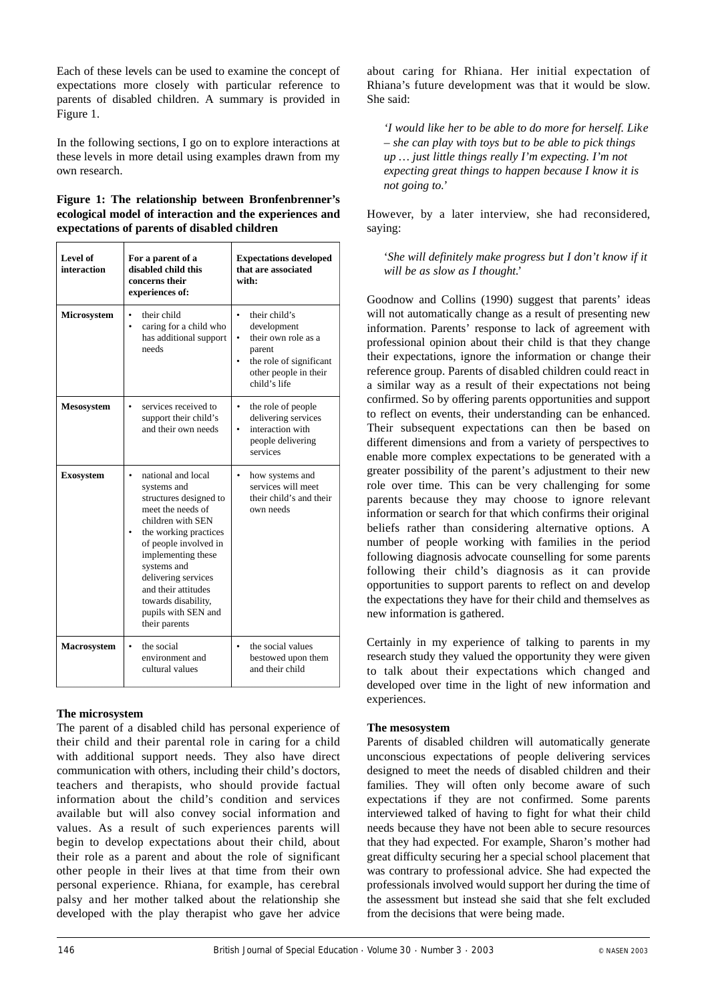Each of these levels can be used to examine the concept of expectations more closely with particular reference to parents of disabled children. A summary is provided in Figure 1.

In the following sections, I go on to explore interactions at these levels in more detail using examples drawn from my own research.

## **Figure 1: The relationship between Bronfenbrenner's ecological model of interaction and the experiences and expectations of parents of disabled children**

| Level of<br>interaction | For a parent of a<br>disabled child this<br>concerns their<br>experiences of:                                                                                                                                                                                                                                  | <b>Expectations developed</b><br>that are associated<br>with:                                                                                       |
|-------------------------|----------------------------------------------------------------------------------------------------------------------------------------------------------------------------------------------------------------------------------------------------------------------------------------------------------------|-----------------------------------------------------------------------------------------------------------------------------------------------------|
| Microsystem             | their child<br>caring for a child who<br>has additional support<br>needs                                                                                                                                                                                                                                       | their child's<br>$\bullet$<br>development<br>their own role as a<br>parent<br>the role of significant<br>٠<br>other people in their<br>child's life |
| <b>Mesosystem</b>       | services received to<br>$\bullet$<br>support their child's<br>and their own needs                                                                                                                                                                                                                              | the role of people<br>٠<br>delivering services<br>interaction with<br>people delivering<br>services                                                 |
| <b>Exosystem</b>        | national and local<br>٠<br>systems and<br>structures designed to<br>meet the needs of<br>children with SEN<br>the working practices<br>of people involved in<br>implementing these<br>systems and<br>delivering services<br>and their attitudes<br>towards disability,<br>pupils with SEN and<br>their parents | how systems and<br>٠<br>services will meet<br>their child's and their<br>own needs                                                                  |
| <b>Macrosystem</b>      | the social<br>environment and<br>cultural values                                                                                                                                                                                                                                                               | the social values<br>٠<br>bestowed upon them<br>and their child                                                                                     |

# **The microsystem**

The parent of a disabled child has personal experience of their child and their parental role in caring for a child with additional support needs. They also have direct communication with others, including their child's doctors, te a chers and therapists, who should provide factual information about the child's condition and services available but will also convey social information and values. As a result of such experiences parents will begin to develop expectations about their child, about their role as a parent and about the role of significant other people in their lives at that time from their own personal experience. Rhiana, for example, has cerebral palsy and her mother talked about the relationship she developed with the play therapist who gave her advice about caring for Rhiana. Her initial expectation of Rhiana's future development was that it would be slow. She said:

*'I would like her to be able to do more for herself. Like – she can play with toys but to be able to pick things up … just little things really I'm expecting. I'm not expecting great things to happen because I know it is not going to.'*

However, by a later interview, she had reconsidered, saying:

'*She will definitely make progress but I don't know if it will be as slow as I thought.'*

Goodnow and Collins (1990) suggest that parents' ideas will not automatically change as a result of presenting new information. Parents' response to lack of agreement with professional opinion about their child is that they change their expectations, ignore the information or change their reference group. Parents of disabled children could react in a similar way as a result of their expectations not being confirmed. So by offering parents opportunities and support to reflect on events, their understanding can be enhanced. Their subsequent expectations can then be based on different dimensions and from a variety of perspectives to enable more complex expectations to be generated with a greater possibility of the parent's adjustment to their new role over time. This can be very challenging for some parents because they may choose to ignore relevant information or search for that which confirms their original beliefs rather than considering alternative options. A number of people working with families in the period following diagnosis advocate counselling for some parents following their child's diagnosis as it can provide opportunities to support parents to reflect on and develop the expectations they have for their child and themselves as new information is gathered.

Certainly in my experience of talking to parents in my research study they valued the opportunity they were given to talk about their expectations which changed and developed over time in the light of new information and experiences.

# **The mesosystem**

Parents of disabled children will automatically generate unconscious expectations of people delivering services designed to meet the needs of disabled children and their families. They will often only become aware of such expectations if they are not confirmed. Some parents interviewed talked of having to fight for what their child needs because they have not been able to secure resources that they had expected. For example, Sharon's mother had great difficulty securing her a special school placement that was contrary to professional advice. She had expected the professionals involved would support her during the time of the assessment but instead she said that she felt excluded from the decisions that were being made.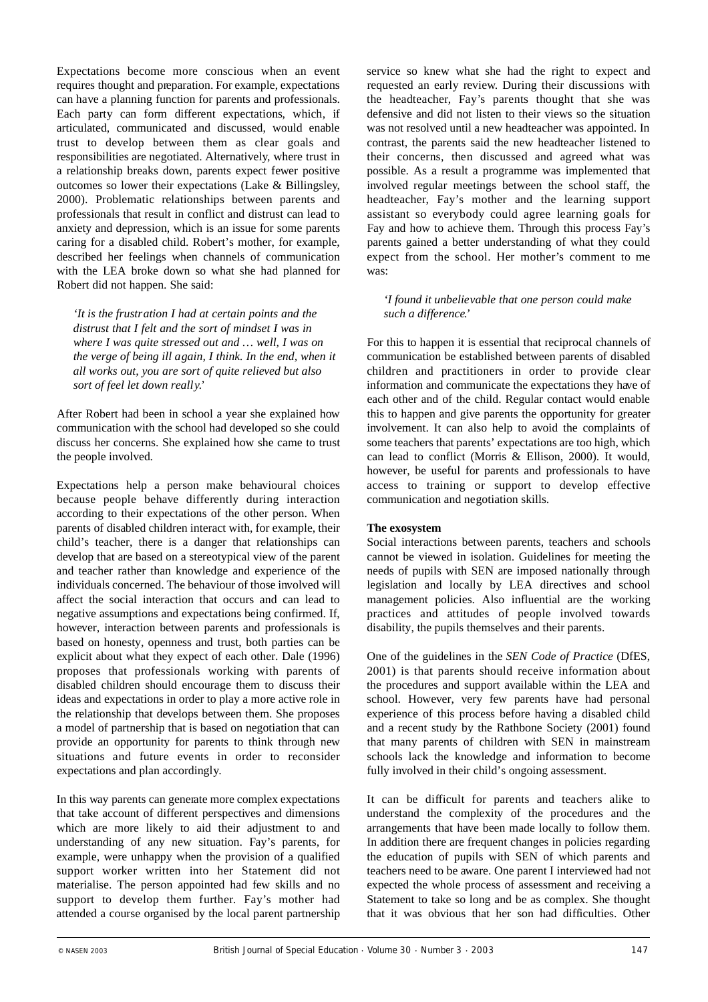Expectations become more conscious when an event requires thought and preparation. For example, expectations can have a planning function for parents and professionals. Each party can form different expectations, which, if articulated, communicated and discussed, would enable trust to develop between them as clear goals and responsibilities are negotiated. Alternatively, where trust in a relationship breaks down, parents expect fewer positive outcomes so lower their expectations (Lake & Billingsley, 2000). Problematic relationships between parents and professionals that result in conflict and distrust can lead to anxiety and depression, which is an issue for some parents caring for a disabled child. Robert's mother, for example, described her feelings when channels of communication with the LEA broke down so what she had planned for Robert did not happen. She said:

*'It is the frustration I had at certain points and the distrust that I felt and the sort of mindset I was in where I was quite stressed out and … well, I was on the verge of being ill again, I think. In the end, when it all works out, you are sort of quite relieved but also sort of feel let down really.'*

After Robert had been in school a year she explained how communication with the school had developed so she could discuss her concerns. She explained how she came to trust the people involved.

Expectations help a person make behavioural choices because people behave differently during interaction according to their expectations of the other person. When parents of disabled children interact with, for example, their child's teacher, there is a danger that relationships can develop that are based on a stereotypical view of the parent and teacher rather than knowledge and experience of the individuals concerned. The behaviour of those involved will affect the social interaction that occurs and can lead to negative assumptions and expectations being confirmed. If, however, interaction between parents and professionals is based on honesty, openness and trust, both parties can be explicit about what they expect of each other. Dale (1996) proposes that professionals working with parents of disabled children should encourage them to discuss their ideas and expectations in order to play a more active role in the relationship that develops between them. She proposes a model of partnership that is based on negotiation that can provide an opportunity for parents to think through new situations and future events in order to reconsider expectations and plan accordingly.

In this way parents can generate more complex expectations that take account of different perspectives and dimensions which are more likely to aid their adjustment to and understanding of any new situation. Fay's parents, for example, were unhappy when the provision of a qualified support worker written into her Statement did not materialise. The person appointed had few skills and no support to develop them further. Fay's mother had attended a course organised by the local parent partnership

service so knew what she had the right to expect and requested an early review. During their discussions with the headteacher, Fay's parents thought that she was defensive and did not listen to their views so the situation was not resolved until a new headteacher was appointed. In contrast, the parents said the new headteacher listened to their concerns, then discussed and agreed what was possible. As a result a programme was implemented that involved regular meetings between the school staff, the headteacher, Fay's mother and the learning support assistant so everybody could agree learning goals for Fay and how to achieve them. Through this process Fay's parents gained a better understanding of what they could expect from the school. Her mother's comment to me was:

## *'I found it unbelievable that one person could make such a difference.'*

For this to happen it is essential that reciprocal channels of communication be established between parents of disabled children and practitioners in order to provide clear information and communicate the expectations they have of each other and of the child. Regular contact would enable this to happen and give parents the opportunity for greater involvement. It can also help to avoid the complaints of some teachers that parents' expectations are too high, which can lead to conflict (Morris & Ellison, 2000). It would, however, be useful for parents and professionals to have access to training or support to develop effective communication and negotiation skills.

# **The exosystem**

Social interactions between parents, teachers and schools cannot be viewed in isolation. Guidelines for meeting the needs of pupils with SEN are imposed nationally through legislation and locally by LEA directives and school management policies. Also influential are the working practices and attitudes of people involved towards disability, the pupils themselves and their parents.

One of the guidelines in the *SEN Code of Practice* (DfES,  $2001$ ) is that parents should receive information about the procedures and support available within the LEA and school. However, very few parents have had personal experience of this process before having a disabled child and a recent study by the Rathbone Society (2001) found that many parents of children with SEN in mainstream schools lack the knowledge and information to become fully involved in their child's ongoing assessment.

It can be difficult for parents and teachers alike to understand the complexity of the procedures and the arrangements that have been made locally to follow them. In addition there are frequent changes in policies regarding the education of pupils with SEN of which parents and teachers need to be aware. One parent I interviewed had not expected the whole process of assessment and receiving a Statement to take so long and be as complex. She thought that it was obvious that her son had difficulties. Other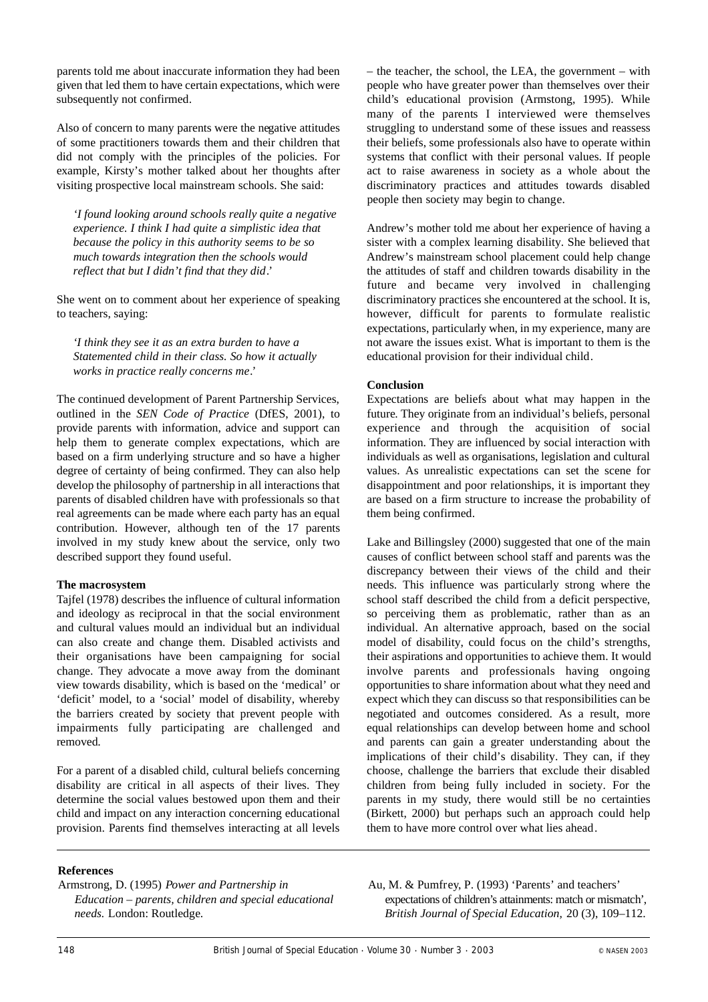parents told me about inaccurate information they had been given that led them to have certain expectations, which were subsequently not confirmed.

Also of concern to many parents were the negative attitudes of some practitioners towards them and their children that did not comply with the principles of the policies. For example, Kirsty's mother talked about her thoughts after visiting prospective local mainstream schools. She said:

*'I found looking around schools really quite a negative experience. I think I had quite a simplistic idea that because the policy in this authority seems to be so much towards integration then the schools would reflect that but I didn't find that they did.'*

She went on to comment about her experience of speaking to teachers, saying:

*'I think they see it as an extra burden to have a Statemented child in their class. So how it actually works in practice really concerns me.'*

The continued development of Parent Partnership Services, outlined in the *SEN Code of Practice* (DfES, 2001), to provide parents with information, advice and support can help them to generate complex expectations, which are based on a firm underlying structure and so have a higher degree of certainty of being confirmed. They can also help develop the philosophy of partnership in all interactions that parents of disabled children have with professionals so that real agreements can be made where each party has an equal contribution. However, although ten of the 17 parents involved in my study knew about the service, only two described support they found useful.

#### **The macrosystem**

Tajfel (1978) describes the influence of cultural information and ideology as reciprocal in that the social environment and cultural values mould an individual but an individual can also create and change them. Disabled activists and their organisations have been campaigning for social change. They advocate a move away from the dominant view towards disability, which is based on the 'medical' or 'deficit' model, to a 'social' model of disability, whereby the barriers created by society that prevent people with impairments fully participating are challenged and removed.

For a parent of a disabled child, cultural beliefs concerning disability are critical in all aspects of their lives. They determine the social values bestowed upon them and their child and impact on any interaction concerning educational provision. Parents find themselves interacting at all levels – the teacher, the school, the LEA, the government – with people who have greater power than themselves over their child's educational provision (Armstong, 1995). While many of the parents I interviewed were themselves struggling to understand some of these issues and reassess their beliefs, some professionals also have to operate within systems that conflict with their personal values. If people act to raise awareness in society as a whole about the discriminatory practices and attitudes towards disabled people then society may begin to change.

Andrew's mother told me about her experience of having a sister with a complex learning disability. She believed that Andrew's mainstream school placement could help change the attitudes of staff and children towards disability in the future and became very involved in challenging discriminatory practices she encountered at the school. It is, however, difficult for parents to formulate realistic expectations, particularly when, in my experience, many are not aware the issues exist. What is important to them is the educational provision for their individual child.

#### **Conclusion**

Expectations are beliefs about what may happen in the future. They originate from an individual's beliefs, personal experience and through the acquisition of social information. They are influenced by social interaction with individuals as well as organisations, legislation and cultural values. As unrealistic expectations can set the scene for disappointment and poor relationships, it is important they are based on a firm structure to increase the probability of them being confirmed.

Lake and Billingsley (2000) suggested that one of the main causes of conflict between school staff and parents was the discrepancy between their views of the child and their needs. This influence was particularly strong where the school staff described the child from a deficit perspective, so perceiving them as problematic, rather than as an individual. An alternative approach, based on the social model of disability, could focus on the child's strengths, their aspirations and opportunities to achieve them. It would involve parents and professionals having ongoing opportunities to share information about what they need and expect which they can discuss so that responsibilities can be negotiated and outcomes considered. As a result, more equal relationships can develop between home and school and parents can gain a greater understanding about the implications of their child's disability. They can, if they choose, challenge the barriers that exclude their disabled children from being fully included in society. For the parents in my study, there would still be no certainties (Birkett, 2000) but perhaps such an approach could help them to have more control over what lies ahead.

#### **References**

Armstrong, D. (1995) *Power and Partnership in Education – parents, children and special educational needs.* London: Routledge.

Au, M. & Pumfrey, P. (1993) 'Parents' and teachers' expectations of children's attainments: match or mismatch', *British Journal of Special Education,* 20 (3), 109–112.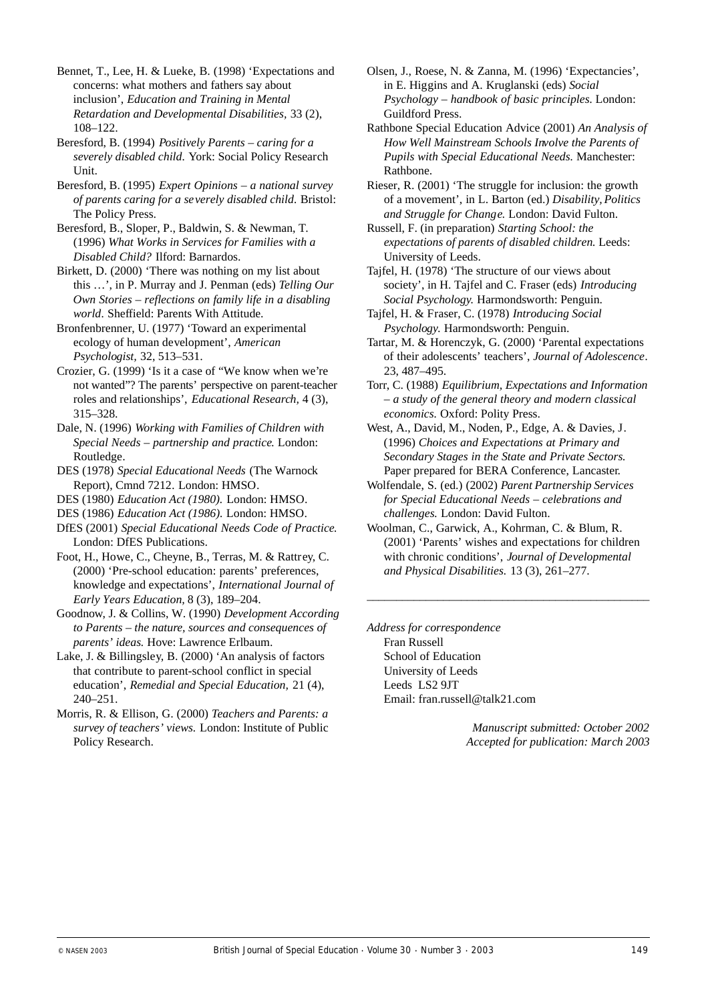Bennet, T., Lee, H. & Lueke, B. (1998) 'Expectations and concerns: what mothers and fathers say about inclusion', *Education and Training in Mental Retardation and Developmental Disabilities,* 33 (2), 108–122.

Beresford, B. (1994) *Positively Parents – caring for a severely disabled child.* York: Social Policy Research Unit.

Beresford, B. (1995) *Expert Opinions – a national survey of parents caring for a severely disabled child.* Bristol: The Policy Press.

Beresford, B., Sloper, P., Baldwin, S. & Newman, T. (1996) *What Works in Services for Families with a Disabled Child?* Ilford: Barnardos.

Birkett, D. (2000) 'There was nothing on my list about this …', in P. Murray and J. Penman (eds) *Telling Our Own Stories – reflections on family life in a disabling world.* Sheffield: Parents With Attitude.

Bronfenbrenner, U. (1977) 'Toward an experimental ecology of human development', *American Psychologist,* 32, 513–531.

Crozier, G. (1999) 'Is it a case of "We know when we're not wanted"? The parents' perspective on parent-teacher roles and relationships', *Educational Research,* 4 (3), 315–328.

Dale, N. (1996) *Working with Families of Children with Special Needs – partnership and practice.* London: Routledge.

DES (1978) *Special Educational Needs* (The Warnock Report), Cmnd 7212*.* London: HMSO.

DES (1980) *Education Act (1980).* London: HMSO.

DES (1986) *Education Act (1986).* London: HMSO.

DfES (2001) *Special Educational Needs Code of Practice.* London: DfES Publications.

Foot, H., Howe, C., Cheyne, B., Terras, M. & Rattrey, C. (2000) 'Pre-school education: parents' preferences, knowledge and expectations', *International Journal of Early Years Education,* 8 (3), 189–204.

Goodnow, J. & Collins, W. (1990) *Development According to Parents – the nature, sources and consequences of parents' ideas.* Hove: Lawrence Erlbaum.

Lake, J. & Billingsley, B. (2000) 'An analysis of factors that contribute to parent-school conflict in special education', *Remedial and Special Education,* 21 (4), 240–251.

Morris, R. & Ellison, G. (2000) *Teachers and Parents: a survey of teachers' views.* London: Institute of Public Policy Research.

Olsen, J., Roese, N. & Zanna, M. (1996) 'Expectancies', in E. Higgins and A. Kruglanski (eds) *Social Psychology – handbook of basic principles.* London: Guildford Press.

Rathbone Special Education Advice (2001) *An Analysis of How Well Mainstream Schools Involve the Parents of Pupils with Special Educational Needs.* Manchester: Rathbone.

Rieser, R. (2001) 'The struggle for inclusion: the growth of a movement', in L. Barton (ed.) *Disability, Politics and Struggle for Change.* London: David Fulton.

Russell, F. (in preparation) *Starting School: the expectations of parents of disabled children.* Leeds: University of Leeds.

Tajfel, H. (1978) 'The structure of our views about society', in H. Tajfel and C. Fraser (eds) *Introducing Social Psychology.* Harmondsworth: Penguin.

Tajfel, H. & Fraser, C. (1978) *Introducing Social Psychology.* Harmondsworth: Penguin.

Tartar, M. & Horenczyk, G. (2000) 'Parental expectations of their adolescents' teachers', *Journal of Adolescence.* 23, 487–495.

Torr, C. (1988) *Equilibrium, Expectations and Information – a study of the general theory and modern classical economics.* Oxford: Polity Press.

West, A., David, M., Noden, P., Edge, A. & Davies, J. (1996) *Choices and Expectations at Primary and Secondary Stages in the State and Private Sectors.* Paper prepared for BERA Conference, Lancaster.

Wolfendale, S. (ed.) (2002) *Parent Partnership Services for Special Educational Needs – celebrations and challenges.* London: David Fulton.

Woolman, C., Garwick, A., Kohrman, C. & Blum, R. (2001) 'Parents' wishes and expectations for children with chronic conditions', *Journal of Developmental and Physical Disabilities.* 13 (3), 261–277.

– – – – – – – – – – – – – – – – – – – – – – – – – – – – – – – – – – – – – – – – – – – – – – – –

*Address for correspondence* Fran Russell School of Education University of Leeds Leeds LS2 9JT Email: fran.russell@talk21.com

> *Manuscript submitted: October 2002 Accepted for publication: March 2003*